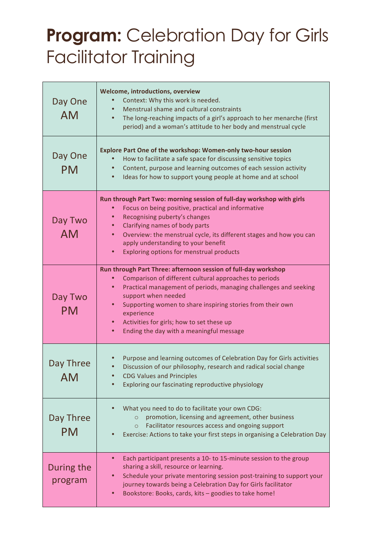## **Program:** Celebration Day for Girls Facilitator Training

| Day One<br><b>AM</b>   | Welcome, introductions, overview<br>Context: Why this work is needed.<br>Menstrual shame and cultural constraints<br>The long-reaching impacts of a girl's approach to her menarche (first<br>period) and a woman's attitude to her body and menstrual cycle                                                                                                                                                                    |
|------------------------|---------------------------------------------------------------------------------------------------------------------------------------------------------------------------------------------------------------------------------------------------------------------------------------------------------------------------------------------------------------------------------------------------------------------------------|
| Day One<br><b>PM</b>   | Explore Part One of the workshop: Women-only two-hour session<br>How to facilitate a safe space for discussing sensitive topics<br>Content, purpose and learning outcomes of each session activity<br>Ideas for how to support young people at home and at school<br>$\bullet$                                                                                                                                                  |
| Day Two<br><b>AM</b>   | Run through Part Two: morning session of full-day workshop with girls<br>Focus on being positive, practical and informative<br>Recognising puberty's changes<br>Clarifying names of body parts<br>Overview: the menstrual cycle, its different stages and how you can<br>apply understanding to your benefit<br>Exploring options for menstrual products<br>$\bullet$                                                           |
| Day Two<br><b>PM</b>   | Run through Part Three: afternoon session of full-day workshop<br>Comparison of different cultural approaches to periods<br>$\bullet$<br>Practical management of periods, managing challenges and seeking<br>$\bullet$<br>support when needed<br>Supporting women to share inspiring stories from their own<br>experience<br>Activities for girls; how to set these up<br>Ending the day with a meaningful message<br>$\bullet$ |
| Day Three<br>AM        | Purpose and learning outcomes of Celebration Day for Girls activities<br>Discussion of our philosophy, research and radical social change<br><b>CDG Values and Principles</b><br>Exploring our fascinating reproductive physiology                                                                                                                                                                                              |
| Day Three<br><b>PM</b> | What you need to do to facilitate your own CDG:<br>promotion, licensing and agreement, other business<br>$\circ$<br>Facilitator resources access and ongoing support<br>$\circ$<br>Exercise: Actions to take your first steps in organising a Celebration Day                                                                                                                                                                   |
| During the<br>program  | Each participant presents a 10- to 15-minute session to the group<br>sharing a skill, resource or learning.<br>Schedule your private mentoring session post-training to support your<br>journey towards being a Celebration Day for Girls facilitator<br>Bookstore: Books, cards, kits - goodies to take home!<br>$\bullet$                                                                                                     |